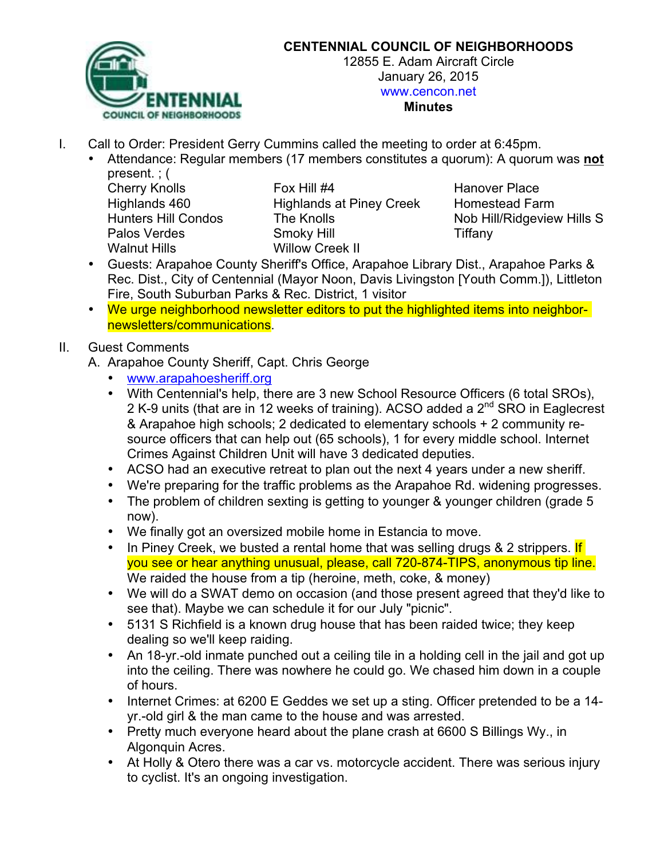

#### **CENTENNIAL COUNCIL OF NEIGHBORHOODS**

12855 E. Adam Aircraft Circle January 26, 2015 www.cencon.net

#### **Minutes**

- I. Call to Order: President Gerry Cummins called the meeting to order at 6:45pm.
	- Attendance: Regular members (17 members constitutes a quorum): A quorum was **not** present. ; (

Walnut Hills Willow Creek II

Cherry Knolls **Fox Hill #4** Hanover Place Highlands 460 Highlands at Piney Creek Homestead Farm Hunters Hill Condos The Knolls Nob Hill/Ridgeview Hills S Palos Verdes **Smoky Hill Smoky Hill Tiffany** 

- Guests: Arapahoe County Sheriff's Office, Arapahoe Library Dist., Arapahoe Parks & Rec. Dist., City of Centennial (Mayor Noon, Davis Livingston [Youth Comm.]), Littleton Fire, South Suburban Parks & Rec. District, 1 visitor
- We urge neighborhood newsletter editors to put the highlighted items into neighbornewsletters/communications.

#### II. Guest Comments

A. Arapahoe County Sheriff, Capt. Chris George

- www.arapahoesheriff.org
- With Centennial's help, there are 3 new School Resource Officers (6 total SROs), 2 K-9 units (that are in 12 weeks of training). ACSO added a 2<sup>nd</sup> SRO in Eaglecrest & Arapahoe high schools; 2 dedicated to elementary schools + 2 community resource officers that can help out (65 schools), 1 for every middle school. Internet Crimes Against Children Unit will have 3 dedicated deputies.
- ACSO had an executive retreat to plan out the next 4 years under a new sheriff.
- We're preparing for the traffic problems as the Arapahoe Rd. widening progresses.
- The problem of children sexting is getting to younger & younger children (grade 5 now).
- We finally got an oversized mobile home in Estancia to move.
- In Piney Creek, we busted a rental home that was selling drugs & 2 strippers. If you see or hear anything unusual, please, call 720-874-TIPS, anonymous tip line. We raided the house from a tip (heroine, meth, coke, & money)
- We will do a SWAT demo on occasion (and those present agreed that they'd like to see that). Maybe we can schedule it for our July "picnic".
- 5131 S Richfield is a known drug house that has been raided twice; they keep dealing so we'll keep raiding.
- An 18-yr.-old inmate punched out a ceiling tile in a holding cell in the jail and got up into the ceiling. There was nowhere he could go. We chased him down in a couple of hours.
- Internet Crimes: at 6200 E Geddes we set up a sting. Officer pretended to be a 14 yr.-old girl & the man came to the house and was arrested.
- Pretty much everyone heard about the plane crash at 6600 S Billings Wy., in Algonquin Acres.
- At Holly & Otero there was a car vs. motorcycle accident. There was serious injury to cyclist. It's an ongoing investigation.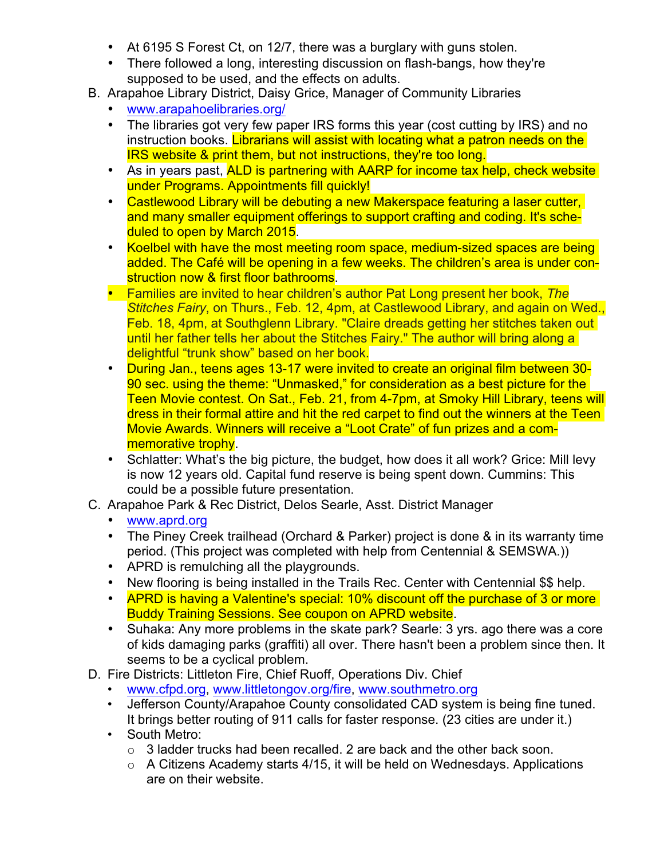- At 6195 S Forest Ct, on 12/7, there was a burglary with guns stolen.
- There followed a long, interesting discussion on flash-bangs, how they're supposed to be used, and the effects on adults.
- B. Arapahoe Library District, Daisy Grice, Manager of Community Libraries
	- www.arapahoelibraries.org/
	- The libraries got very few paper IRS forms this year (cost cutting by IRS) and no instruction books. Librarians will assist with locating what a patron needs on the IRS website & print them, but not instructions, they're too long.
	- As in years past, ALD is partnering with AARP for income tax help, check website under Programs. Appointments fill quickly!
	- Castlewood Library will be debuting a new Makerspace featuring a laser cutter, and many smaller equipment offerings to support crafting and coding. It's scheduled to open by March 2015.
	- Koelbel with have the most meeting room space, medium-sized spaces are being added. The Café will be opening in a few weeks. The children's area is under construction now & first floor bathrooms.
	- Families are invited to hear children's author Pat Long present her book, *The Stitches Fairy*, on Thurs., Feb. 12, 4pm, at Castlewood Library, and again on Wed., Feb. 18, 4pm, at Southglenn Library. "Claire dreads getting her stitches taken out until her father tells her about the Stitches Fairy." The author will bring along a delightful "trunk show" based on her book.
	- During Jan., teens ages 13-17 were invited to create an original film between 30- 90 sec. using the theme: "Unmasked," for consideration as a best picture for the Teen Movie contest. On Sat., Feb. 21, from 4-7pm, at Smoky Hill Library, teens will dress in their formal attire and hit the red carpet to find out the winners at the Teen Movie Awards. Winners will receive a "Loot Crate" of fun prizes and a commemorative trophy.
	- Schlatter: What's the big picture, the budget, how does it all work? Grice: Mill levy is now 12 years old. Capital fund reserve is being spent down. Cummins: This could be a possible future presentation.
- C. Arapahoe Park & Rec District, Delos Searle, Asst. District Manager
	- www.aprd.org
	- The Piney Creek trailhead (Orchard & Parker) project is done & in its warranty time period. (This project was completed with help from Centennial & SEMSWA.))
	- APRD is remulching all the playgrounds.
	- New flooring is being installed in the Trails Rec. Center with Centennial \$\$ help.
	- APRD is having a Valentine's special: 10% discount off the purchase of 3 or more Buddy Training Sessions. See coupon on APRD website.
	- Suhaka: Any more problems in the skate park? Searle: 3 yrs. ago there was a core of kids damaging parks (graffiti) all over. There hasn't been a problem since then. It seems to be a cyclical problem.
- D. Fire Districts: Littleton Fire, Chief Ruoff, Operations Div. Chief
	- www.cfpd.org, www.littletongov.org/fire, www.southmetro.org
	- Jefferson County/Arapahoe County consolidated CAD system is being fine tuned. It brings better routing of 911 calls for faster response. (23 cities are under it.)
	- South Metro:
		- $\circ$  3 ladder trucks had been recalled. 2 are back and the other back soon.
		- $\circ$  A Citizens Academy starts 4/15, it will be held on Wednesdays. Applications are on their website.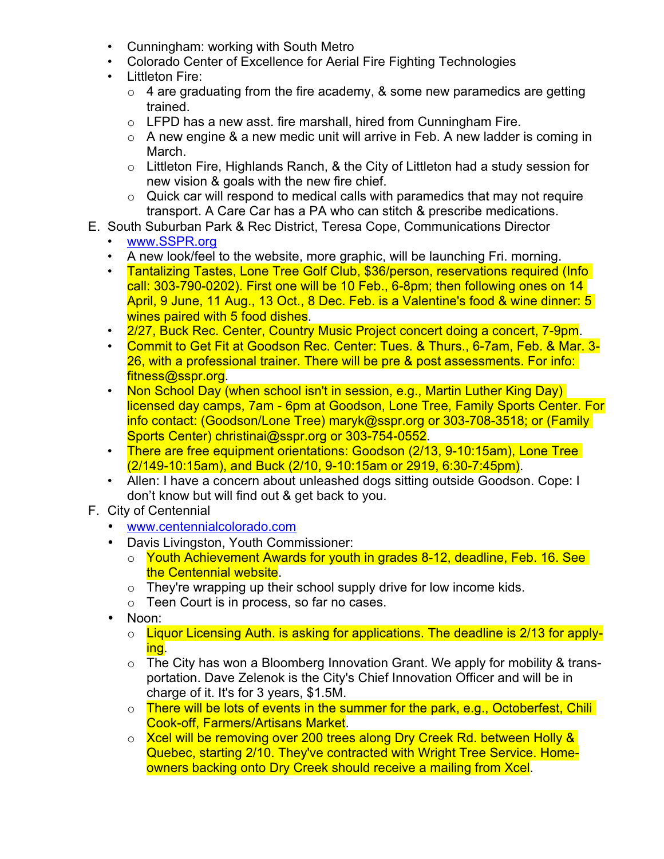- Cunningham: working with South Metro
- Colorado Center of Excellence for Aerial Fire Fighting Technologies
- Littleton Fire:
	- $\circ$  4 are graduating from the fire academy, & some new paramedics are getting trained.
	- o LFPD has a new asst. fire marshall, hired from Cunningham Fire.
	- $\circ$  A new engine & a new medic unit will arrive in Feb. A new ladder is coming in March.
	- $\circ$  Littleton Fire, Highlands Ranch, & the City of Littleton had a study session for new vision & goals with the new fire chief.
	- $\circ$  Quick car will respond to medical calls with paramedics that may not require transport. A Care Car has a PA who can stitch & prescribe medications.
- E. South Suburban Park & Rec District, Teresa Cope, Communications Director
	- www.SSPR.org
	- A new look/feel to the website, more graphic, will be launching Fri. morning.
	- Tantalizing Tastes, Lone Tree Golf Club, \$36/person, reservations required (Info call: 303-790-0202). First one will be 10 Feb., 6-8pm; then following ones on 14 April, 9 June, 11 Aug., 13 Oct., 8 Dec. Feb. is a Valentine's food & wine dinner: 5 wines paired with 5 food dishes.
	- 2/27, Buck Rec. Center, Country Music Project concert doing a concert, 7-9pm.
	- Commit to Get Fit at Goodson Rec. Center: Tues. & Thurs., 6-7am, Feb. & Mar. 3- 26, with a professional trainer. There will be pre & post assessments. For info: fitness@sspr.org.
	- Non School Day (when school isn't in session, e.g., Martin Luther King Day) licensed day camps, 7am - 6pm at Goodson, Lone Tree, Family Sports Center. For info contact: (Goodson/Lone Tree) maryk@sspr.org or 303-708-3518; or (Family Sports Center) christinai@sspr.org or 303-754-0552.
	- There are free equipment orientations: Goodson (2/13, 9-10:15am), Lone Tree (2/149-10:15am), and Buck (2/10, 9-10:15am or 2919, 6:30-7:45pm).
	- Allen: I have a concern about unleashed dogs sitting outside Goodson. Cope: I don't know but will find out & get back to you.
- F. City of Centennial
	- www.centennialcolorado.com
	- Davis Livingston, Youth Commissioner:
		- o Youth Achievement Awards for youth in grades 8-12, deadline, Feb. 16. See the Centennial website.
		- $\circ$  They're wrapping up their school supply drive for low income kids.
		- o Teen Court is in process, so far no cases.
	- Noon:
		- o Liquor Licensing Auth. is asking for applications. The deadline is 2/13 for applying.
		- $\circ$  The City has won a Bloomberg Innovation Grant. We apply for mobility & transportation. Dave Zelenok is the City's Chief Innovation Officer and will be in charge of it. It's for 3 years, \$1.5M.
		- o There will be lots of events in the summer for the park, e.g., Octoberfest, Chili Cook-off, Farmers/Artisans Market.
		- o Xcel will be removing over 200 trees along Dry Creek Rd. between Holly & Quebec, starting 2/10. They've contracted with Wright Tree Service. Homeowners backing onto Dry Creek should receive a mailing from Xcel.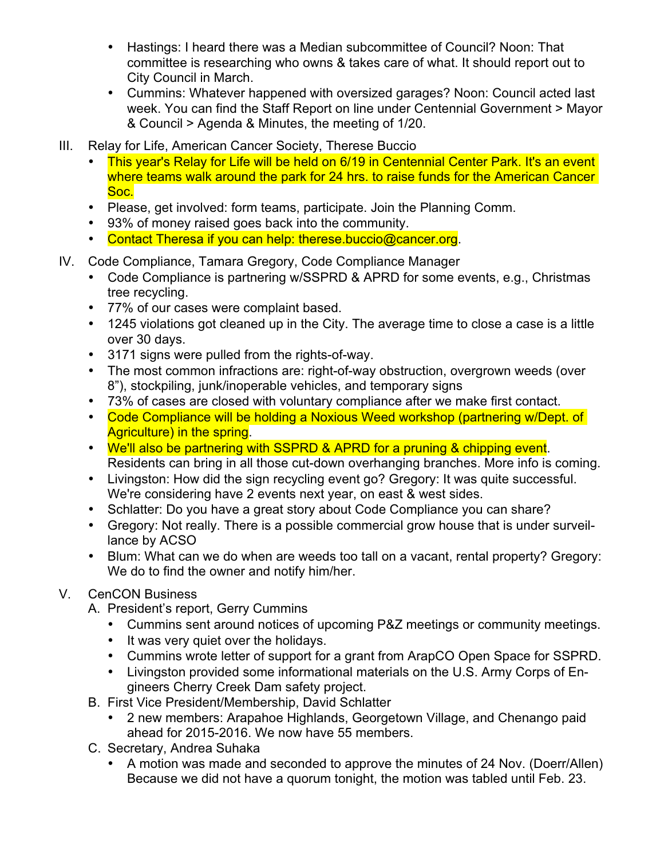- Hastings: I heard there was a Median subcommittee of Council? Noon: That committee is researching who owns & takes care of what. It should report out to City Council in March.
- Cummins: Whatever happened with oversized garages? Noon: Council acted last week. You can find the Staff Report on line under Centennial Government > Mayor & Council > Agenda & Minutes, the meeting of 1/20.
- III. Relay for Life, American Cancer Society, Therese Buccio
	- This year's Relay for Life will be held on 6/19 in Centennial Center Park. It's an event where teams walk around the park for 24 hrs. to raise funds for the American Cancer Soc.
	- Please, get involved: form teams, participate. Join the Planning Comm.
	- 93% of money raised goes back into the community.
	- Contact Theresa if you can help: therese.buccio@cancer.org.
- IV. Code Compliance, Tamara Gregory, Code Compliance Manager
	- Code Compliance is partnering w/SSPRD & APRD for some events, e.g., Christmas tree recycling.
	- 77% of our cases were complaint based.
	- 1245 violations got cleaned up in the City. The average time to close a case is a little over 30 days.
	- 3171 signs were pulled from the rights-of-way.
	- The most common infractions are: right-of-way obstruction, overgrown weeds (over 8"), stockpiling, junk/inoperable vehicles, and temporary signs
	- 73% of cases are closed with voluntary compliance after we make first contact.
	- Code Compliance will be holding a Noxious Weed workshop (partnering w/Dept. of Agriculture) in the spring.
	- We'll also be partnering with SSPRD & APRD for a pruning & chipping event. Residents can bring in all those cut-down overhanging branches. More info is coming.
	- Livingston: How did the sign recycling event go? Gregory: It was quite successful. We're considering have 2 events next year, on east & west sides.
	- Schlatter: Do you have a great story about Code Compliance you can share?
	- Gregory: Not really. There is a possible commercial grow house that is under surveillance by ACSO
	- Blum: What can we do when are weeds too tall on a vacant, rental property? Gregory: We do to find the owner and notify him/her.

## V. CenCON Business

- A. President's report, Gerry Cummins
	- Cummins sent around notices of upcoming P&Z meetings or community meetings.
	- It was very quiet over the holidays.
	- Cummins wrote letter of support for a grant from ArapCO Open Space for SSPRD.
	- Livingston provided some informational materials on the U.S. Army Corps of Engineers Cherry Creek Dam safety project.
- B. First Vice President/Membership, David Schlatter
	- 2 new members: Arapahoe Highlands, Georgetown Village, and Chenango paid ahead for 2015-2016. We now have 55 members.
- C. Secretary, Andrea Suhaka
	- A motion was made and seconded to approve the minutes of 24 Nov. (Doerr/Allen) Because we did not have a quorum tonight, the motion was tabled until Feb. 23.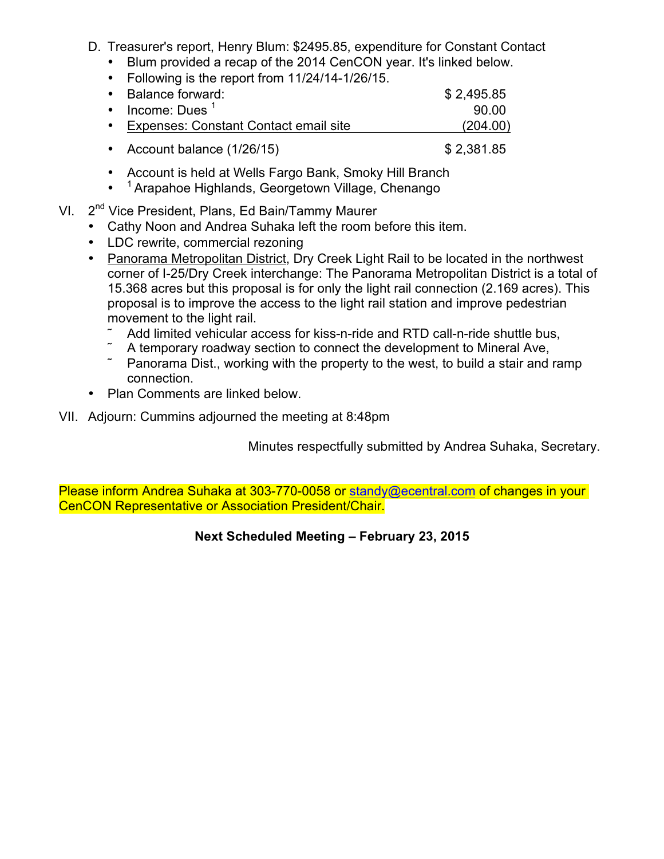- D. Treasurer's report, Henry Blum: \$2495.85, expenditure for Constant Contact
	- Blum provided a recap of the 2014 CenCON year. It's linked below.
	- Following is the report from 11/24/14-1/26/15.

| • Balance forward:                      | \$2,495.85 |
|-----------------------------------------|------------|
| $\cdot$ Income: Dues <sup>1</sup>       | .90.00     |
| • Expenses: Constant Contact email site | (204.00)   |
| • Account balance (1/26/15)             | \$2,381.85 |

- Account is held at Wells Fargo Bank, Smoky Hill Branch
- <sup>1</sup> Arapahoe Highlands, Georgetown Village, Chenango
- VI. 2<sup>nd</sup> Vice President, Plans, Ed Bain/Tammy Maurer
	- Cathy Noon and Andrea Suhaka left the room before this item.
	- LDC rewrite, commercial rezoning
	- Panorama Metropolitan District, Dry Creek Light Rail to be located in the northwest corner of I-25/Dry Creek interchange: The Panorama Metropolitan District is a total of 15.368 acres but this proposal is for only the light rail connection (2.169 acres). This proposal is to improve the access to the light rail station and improve pedestrian movement to the light rail.
		- Add limited vehicular access for kiss-n-ride and RTD call-n-ride shuttle bus,
		- ˜ A temporary roadway section to connect the development to Mineral Ave,
		- Panorama Dist., working with the property to the west, to build a stair and ramp connection.
	- Plan Comments are linked below.

## VII. Adjourn: Cummins adjourned the meeting at 8:48pm

Minutes respectfully submitted by Andrea Suhaka, Secretary.

Please inform Andrea Suhaka at 303-770-0058 or standy@ecentral.com of changes in your CenCON Representative or Association President/Chair.

# **Next Scheduled Meeting – February 23, 2015**